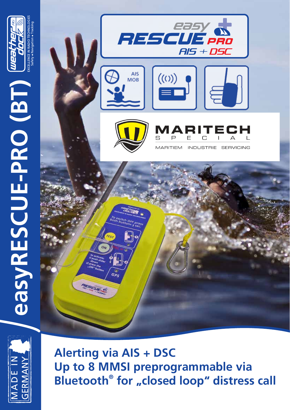





**Alerting via AIS + DSC Up to 8 MMSI preprogrammable via Bluetooth<sup>®</sup> for "closed loop" distress call**